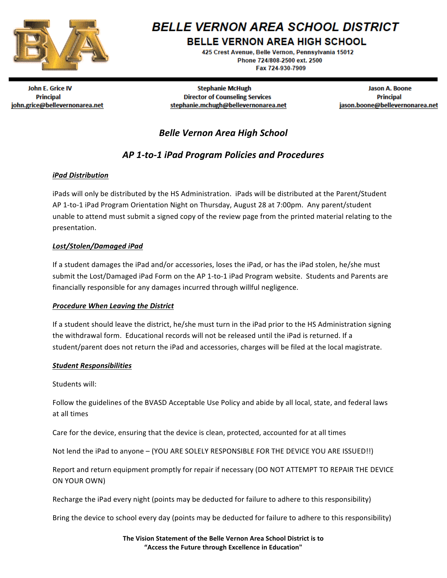

# **BELLE VERNON AREA SCHOOL DISTRICT**

**BELLE VERNON AREA HIGH SCHOOL** 

425 Crest Avenue, Belle Vernon, Pennsylvania 15012 Phone 724/808-2500 ext. 2500 Fax 724-930-7909

John E. Grice IV **Principal** john.grice@bellevernonarea.net

**Stephanie McHugh Director of Counseling Services** stephanie.mchugh@bellevernonarea.net

Jason A. Boone **Principal** jason.boone@bellevernonarea.net

# *Belle Vernon Area High School*

# *AP 1-to-1 iPad Program Policies and Procedures*

## *iPad Distribution*

iPads will only be distributed by the HS Administration. *iPads* will be distributed at the Parent/Student AP 1-to-1 iPad Program Orientation Night on Thursday, August 28 at 7:00pm. Any parent/student unable to attend must submit a signed copy of the review page from the printed material relating to the presentation.

## *Lost/Stolen/Damaged iPad*

If a student damages the iPad and/or accessories, loses the iPad, or has the iPad stolen, he/she must submit the Lost/Damaged iPad Form on the AP 1-to-1 iPad Program website. Students and Parents are financially responsible for any damages incurred through willful negligence.

### *Procedure When Leaving the District*

If a student should leave the district, he/she must turn in the iPad prior to the HS Administration signing the withdrawal form. Educational records will not be released until the iPad is returned. If a student/parent does not return the iPad and accessories, charges will be filed at the local magistrate.

### *Student Responsibilities*

Students will:

Follow the guidelines of the BVASD Acceptable Use Policy and abide by all local, state, and federal laws at all times

Care for the device, ensuring that the device is clean, protected, accounted for at all times

Not lend the iPad to anyone - (YOU ARE SOLELY RESPONSIBLE FOR THE DEVICE YOU ARE ISSUED!!)

Report and return equipment promptly for repair if necessary (DO NOT ATTEMPT TO REPAIR THE DEVICE ON YOUR OWN)

Recharge the iPad every night (points may be deducted for failure to adhere to this responsibility)

Bring the device to school every day (points may be deducted for failure to adhere to this responsibility)

The Vision Statement of the Belle Vernon Area School District is to **"Access the Future through Excellence in Education"**